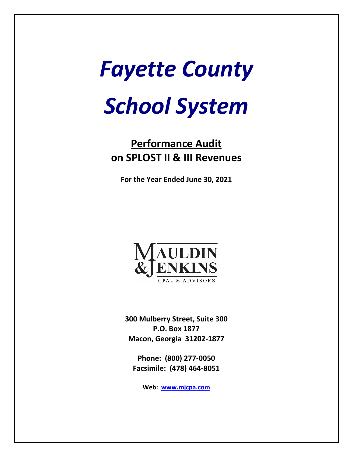# *Fayette County School System*

# **Performance Audit on SPLOST II & III Revenues**

**For the Year Ended June 30, 2021**



**300 Mulberry Street, Suite 300 P.O. Box 1877 Macon, Georgia 31202-1877**

**Phone: (800) 277-0050 Facsimile: (478) 464-8051**

**Web: [www.mjcpa.com](http://www.mjcpa.com/)**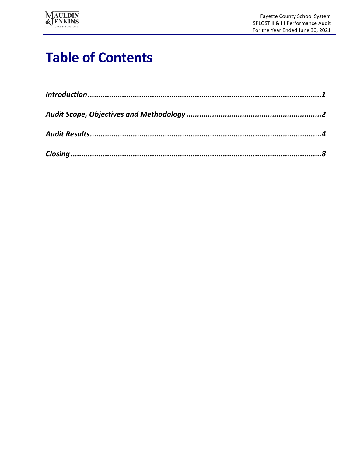

# **Table of Contents**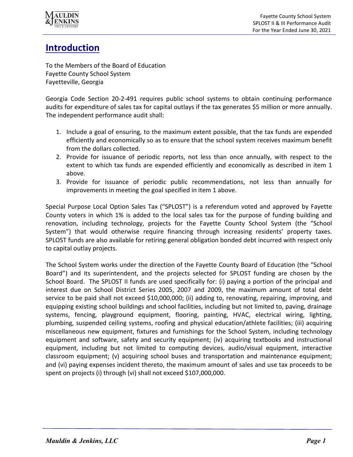

# **Introduction**

To the Members of the Board of Education Fayette County School System Fayetteville, Georgia

Georgia Code Section 20-2-491 requires public school systems to obtain continuing performance audits for expenditure of sales tax for capital outlays if the tax generates \$5 million or more annually. The independent performance audit shall:

- 1. Include a goal of ensuring, to the maximum extent possible, that the tax funds are expended efficiently and economically so as to ensure that the school system receives maximum benefit from the dollars collected.
- 2. Provide for issuance of periodic reports, not less than once annually, with respect to the extent to which tax funds are expended efficiently and economically as described in item 1 above.
- 3. Provide for issuance of periodic public recommendations, not less than annually for improvements in meeting the goal specified in item 1 above.

Special Purpose Local Option Sales Tax ("SPLOST") is a referendum voted and approved by Fayette County voters in which 1% is added to the local sales tax for the purpose of funding building and renovation, including technology, projects for the Fayette County School System (the "School System") that would otherwise require financing through increasing residents' property taxes. SPLOST funds are also available for retiring general obligation bonded debt incurred with respect only to capital outlay projects.

The School System works under the direction of the Fayette County Board of Education (the "School Board") and its superintendent, and the projects selected for SPLOST funding are chosen by the School Board. The SPLOST II funds are used specifically for: (i) paying a portion of the principal and interest due on School District Series 2005, 2007 and 2009, the maximum amount of total debt service to be paid shall not exceed \$10,000,000; (ii) adding to, renovating, repairing, improving, and equipping existing school buildings and school facilities, including but not limited to, paving, drainage systems, fencing, playground equipment, flooring, painting, HVAC, electrical wiring, lighting, plumbing, suspended ceiling systems, roofing and physical education/athlete facilities; (iii) acquiring miscellaneous new equipment, fixtures and furnishings for the School System, including technology equipment and software, safety and security equipment; (iv) acquiring textbooks and instructional equipment, including but not limited to computing devices, audio/visual equipment, interactive classroom equipment; (v) acquiring school buses and transportation and maintenance equipment; and (vi) paying expenses incident thereto, the maximum amount of sales and use tax proceeds to be spent on projects (i) through (vi) shall not exceed \$107,000,000.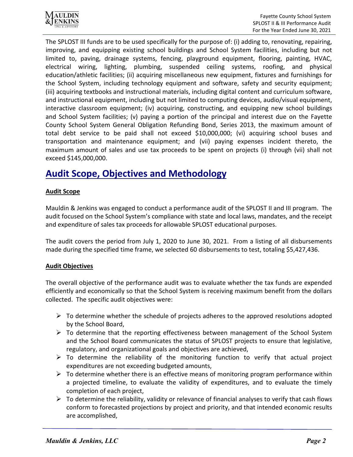

The SPLOST III funds are to be used specifically for the purpose of: (i) adding to, renovating, repairing, improving, and equipping existing school buildings and School System facilities, including but not limited to, paving, drainage systems, fencing, playground equipment, flooring, painting, HVAC, electrical wiring, lighting, plumbing, suspended ceiling systems, roofing, and physical education/athletic facilities; (ii) acquiring miscellaneous new equipment, fixtures and furnishings for the School System, including technology equipment and software, safety and security equipment; (iii) acquiring textbooks and instructional materials, including digital content and curriculum software, and instructional equipment, including but not limited to computing devices, audio/visual equipment, interactive classroom equipment; (iv) acquiring, constructing, and equipping new school buildings and School System facilities; (v) paying a portion of the principal and interest due on the Fayette County School System General Obligation Refunding Bond, Series 2013, the maximum amount of total debt service to be paid shall not exceed \$10,000,000; (vi) acquiring school buses and transportation and maintenance equipment; and (vii) paying expenses incident thereto, the maximum amount of sales and use tax proceeds to be spent on projects (i) through (vii) shall not exceed \$145,000,000.

## **Audit Scope, Objectives and Methodology**

#### **Audit Scope**

Mauldin & Jenkins was engaged to conduct a performance audit of the SPLOST II and III program. The audit focused on the School System's compliance with state and local laws, mandates, and the receipt and expenditure of sales tax proceeds for allowable SPLOST educational purposes.

The audit covers the period from July 1, 2020 to June 30, 2021. From a listing of all disbursements made during the specified time frame, we selected 60 disbursements to test, totaling \$5,427,436.

#### **Audit Objectives**

The overall objective of the performance audit was to evaluate whether the tax funds are expended efficiently and economically so that the School System is receiving maximum benefit from the dollars collected. The specific audit objectives were:

- $\triangleright$  To determine whether the schedule of projects adheres to the approved resolutions adopted by the School Board,
- $\triangleright$  To determine that the reporting effectiveness between management of the School System and the School Board communicates the status of SPLOST projects to ensure that legislative, regulatory, and organizational goals and objectives are achieved,
- $\triangleright$  To determine the reliability of the monitoring function to verify that actual project expenditures are not exceeding budgeted amounts,
- $\triangleright$  To determine whether there is an effective means of monitoring program performance within a projected timeline, to evaluate the validity of expenditures, and to evaluate the timely completion of each project,
- $\triangleright$  To determine the reliability, validity or relevance of financial analyses to verify that cash flows conform to forecasted projections by project and priority, and that intended economic results are accomplished,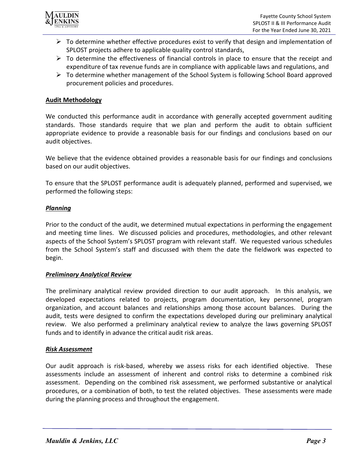

- $\triangleright$  To determine whether effective procedures exist to verify that design and implementation of SPLOST projects adhere to applicable quality control standards,
- $\triangleright$  To determine the effectiveness of financial controls in place to ensure that the receipt and expenditure of tax revenue funds are in compliance with applicable laws and regulations, and
- $\triangleright$  To determine whether management of the School System is following School Board approved procurement policies and procedures.

#### **Audit Methodology**

We conducted this performance audit in accordance with generally accepted government auditing standards. Those standards require that we plan and perform the audit to obtain sufficient appropriate evidence to provide a reasonable basis for our findings and conclusions based on our audit objectives.

We believe that the evidence obtained provides a reasonable basis for our findings and conclusions based on our audit objectives.

To ensure that the SPLOST performance audit is adequately planned, performed and supervised, we performed the following steps:

#### *Planning*

Prior to the conduct of the audit, we determined mutual expectations in performing the engagement and meeting time lines. We discussed policies and procedures, methodologies, and other relevant aspects of the School System's SPLOST program with relevant staff. We requested various schedules from the School System's staff and discussed with them the date the fieldwork was expected to begin.

#### *Preliminary Analytical Review*

The preliminary analytical review provided direction to our audit approach. In this analysis, we developed expectations related to projects, program documentation, key personnel, program organization, and account balances and relationships among those account balances. During the audit, tests were designed to confirm the expectations developed during our preliminary analytical review. We also performed a preliminary analytical review to analyze the laws governing SPLOST funds and to identify in advance the critical audit risk areas.

#### *Risk Assessment*

Our audit approach is risk-based, whereby we assess risks for each identified objective. These assessments include an assessment of inherent and control risks to determine a combined risk assessment. Depending on the combined risk assessment, we performed substantive or analytical procedures, or a combination of both, to test the related objectives. These assessments were made during the planning process and throughout the engagement.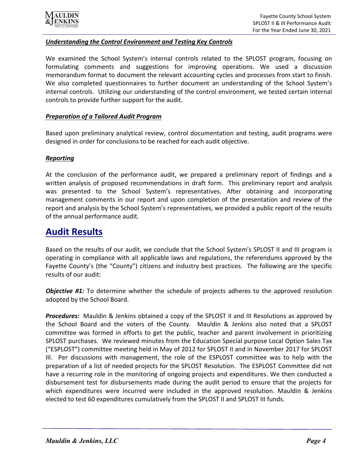

#### *Understanding the Control Environment and Testing Key Controls*

We examined the School System's internal controls related to the SPLOST program, focusing on formulating comments and suggestions for improving operations. We used a discussion memorandum format to document the relevant accounting cycles and processes from start to finish. We also completed questionnaires to further document an understanding of the School System's internal controls. Utilizing our understanding of the control environment, we tested certain internal controls to provide further support for the audit.

#### *Preparation of a Tailored Audit Program*

Based upon preliminary analytical review, control documentation and testing, audit programs were designed in order for conclusions to be reached for each audit objective.

#### *Reporting*

At the conclusion of the performance audit, we prepared a preliminary report of findings and a written analysis of proposed recommendations in draft form. This preliminary report and analysis was presented to the School System's representatives. After obtaining and incorporating management comments in our report and upon completion of the presentation and review of the report and analysis by the School System's representatives, we provided a public report of the results of the annual performance audit.

### **Audit Results**

Based on the results of our audit, we conclude that the School System's SPLOST II and III program is operating in compliance with all applicable laws and regulations, the referendums approved by the Fayette County's (the "County") citizens and industry best practices. The following are the specific results of our audit:

*Objective #1:* To determine whether the schedule of projects adheres to the approved resolution adopted by the School Board.

*Procedures:* Mauldin & Jenkins obtained a copy of the SPLOST II and III Resolutions as approved by the School Board and the voters of the County. Mauldin & Jenkins also noted that a SPLOST committee was formed in efforts to get the public, teacher and parent involvement in prioritizing SPLOST purchases. We reviewed minutes from the Education Special purpose Local Option Sales Tax ("ESPLOST") committee meeting held in May of 2012 for SPLOST II and in November 2017 for SPLOST III. Per discussions with management, the role of the ESPLOST committee was to help with the preparation of a list of needed projects for the SPLOST Resolution. The ESPLOST Committee did not have a recurring role in the monitoring of ongoing projects and expenditures. We then conducted a disbursement test for disbursements made during the audit period to ensure that the projects for which expenditures were incurred were included in the approved resolution. Mauldin & Jenkins elected to test 60 expenditures cumulatively from the SPLOST II and SPLOST III funds.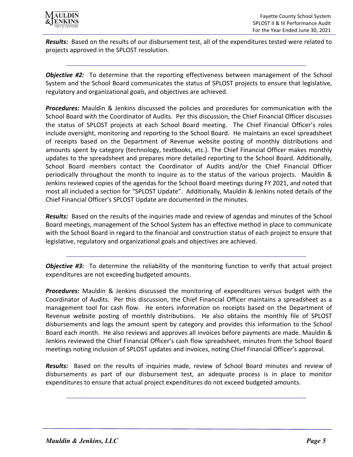

*Results:* Based on the results of our disbursement test, all of the expenditures tested were related to projects approved in the SPLOST resolution.

*Objective #2:* To determine that the reporting effectiveness between management of the School System and the School Board communicates the status of SPLOST projects to ensure that legislative, regulatory and organizational goals, and objectives are achieved.

*Procedures:* Mauldin & Jenkins discussed the policies and procedures for communication with the School Board with the Coordinator of Audits. Per this discussion, the Chief Financial Officer discusses the status of SPLOST projects at each School Board meeting. The Chief Financial Officer's roles include oversight, monitoring and reporting to the School Board. He maintains an excel spreadsheet of receipts based on the Department of Revenue website posting of monthly distributions and amounts spent by category (technology, textbooks, etc.). The Chief Financial Officer makes monthly updates to the spreadsheet and prepares more detailed reporting to the School Board. Additionally, School Board members contact the Coordinator of Audits and/or the Chief Financial Officer periodically throughout the month to inquire as to the status of the various projects. Mauldin & Jenkins reviewed copies of the agendas for the School Board meetings during FY 2021, and noted that most all included a section for "SPLOST Update". Additionally, Mauldin & Jenkins noted details of the Chief Financial Officer's SPLOST Update are documented in the minutes.

*Results:* Based on the results of the inquiries made and review of agendas and minutes of the School Board meetings, management of the School System has an effective method in place to communicate with the School Board in regard to the financial and construction status of each project to ensure that legislative, regulatory and organizational goals and objectives are achieved.

*Objective #3:* To determine the reliability of the monitoring function to verify that actual project expenditures are not exceeding budgeted amounts.

*Procedures:* Mauldin & Jenkins discussed the monitoring of expenditures versus budget with the Coordinator of Audits. Per this discussion, the Chief Financial Officer maintains a spreadsheet as a management tool for cash flow. He enters information on receipts based on the Department of Revenue website posting of monthly distributions. He also obtains the monthly file of SPLOST disbursements and logs the amount spent by category and provides this information to the School Board each month. He also reviews and approves all invoices before payments are made. Mauldin & Jenkins reviewed the Chief Financial Officer's cash flow spreadsheet, minutes from the School Board meetings noting inclusion of SPLOST updates and invoices, noting Chief Financial Officer's approval.

*Results:* Based on the results of inquiries made, review of School Board minutes and review of disbursements as part of our disbursement test, an adequate process is in place to monitor expenditures to ensure that actual project expenditures do not exceed budgeted amounts.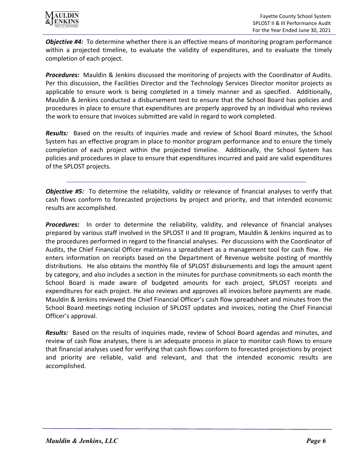

*Objective #4:* To determine whether there is an effective means of monitoring program performance within a projected timeline, to evaluate the validity of expenditures, and to evaluate the timely completion of each project.

*Procedures:* Mauldin & Jenkins discussed the monitoring of projects with the Coordinator of Audits. Per this discussion, the Facilities Director and the Technology Services Director monitor projects as applicable to ensure work is being completed in a timely manner and as specified. Additionally, Mauldin & Jenkins conducted a disbursement test to ensure that the School Board has policies and procedures in place to ensure that expenditures are properly approved by an individual who reviews the work to ensure that invoices submitted are valid in regard to work completed.

*Results:* Based on the results of inquiries made and review of School Board minutes, the School System has an effective program in place to monitor program performance and to ensure the timely completion of each project within the projected timeline. Additionally, the School System has policies and procedures in place to ensure that expenditures incurred and paid are valid expenditures of the SPLOST projects.

*Objective #5:* To determine the reliability, validity or relevance of financial analyses to verify that cash flows conform to forecasted projections by project and priority, and that intended economic results are accomplished.

*Procedures:* In order to determine the reliability, validity, and relevance of financial analyses prepared by various staff involved in the SPLOST II and III program, Mauldin & Jenkins inquired as to the procedures performed in regard to the financial analyses. Per discussions with the Coordinator of Audits, the Chief Financial Officer maintains a spreadsheet as a management tool for cash flow. He enters information on receipts based on the Department of Revenue website posting of monthly distributions. He also obtains the monthly file of SPLOST disbursements and logs the amount spent by category, and also includes a section in the minutes for purchase commitments so each month the School Board is made aware of budgeted amounts for each project, SPLOST receipts and expenditures for each project. He also reviews and approves all invoices before payments are made. Mauldin & Jenkins reviewed the Chief Financial Officer's cash flow spreadsheet and minutes from the School Board meetings noting inclusion of SPLOST updates and invoices, noting the Chief Financial Officer's approval.

*Results:* Based on the results of inquiries made, review of School Board agendas and minutes, and review of cash flow analyses, there is an adequate process in place to monitor cash flows to ensure that financial analyses used for verifying that cash flows conform to forecasted projections by project and priority are reliable, valid and relevant, and that the intended economic results are accomplished.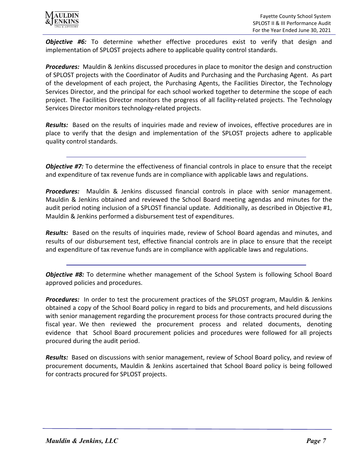

*Objective #6:* To determine whether effective procedures exist to verify that design and implementation of SPLOST projects adhere to applicable quality control standards.

*Procedures:* Mauldin & Jenkins discussed procedures in place to monitor the design and construction of SPLOST projects with the Coordinator of Audits and Purchasing and the Purchasing Agent. As part of the development of each project, the Purchasing Agents, the Facilities Director, the Technology Services Director, and the principal for each school worked together to determine the scope of each project. The Facilities Director monitors the progress of all facility-related projects. The Technology Services Director monitors technology-related projects.

*Results:* Based on the results of inquiries made and review of invoices, effective procedures are in place to verify that the design and implementation of the SPLOST projects adhere to applicable quality control standards.

*Objective #7:* To determine the effectiveness of financial controls in place to ensure that the receipt and expenditure of tax revenue funds are in compliance with applicable laws and regulations.

*Procedures:* Mauldin & Jenkins discussed financial controls in place with senior management. Mauldin & Jenkins obtained and reviewed the School Board meeting agendas and minutes for the audit period noting inclusion of a SPLOST financial update. Additionally, as described in Objective #1, Mauldin & Jenkins performed a disbursement test of expenditures.

*Results:* Based on the results of inquiries made, review of School Board agendas and minutes, and results of our disbursement test, effective financial controls are in place to ensure that the receipt and expenditure of tax revenue funds are in compliance with applicable laws and regulations.

*Objective #8:* To determine whether management of the School System is following School Board approved policies and procedures.

*Procedures:* In order to test the procurement practices of the SPLOST program, Mauldin & Jenkins obtained a copy of the School Board policy in regard to bids and procurements, and held discussions with senior management regarding the procurement process for those contracts procured during the fiscal year. We then reviewed the procurement process and related documents, denoting evidence that School Board procurement policies and procedures were followed for all projects procured during the audit period.

*Results:* Based on discussions with senior management, review of School Board policy, and review of procurement documents, Mauldin & Jenkins ascertained that School Board policy is being followed for contracts procured for SPLOST projects.